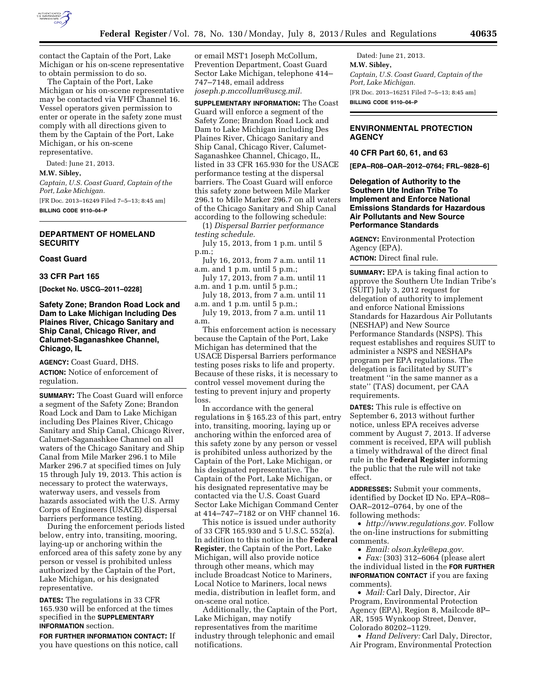

contact the Captain of the Port, Lake Michigan or his on-scene representative to obtain permission to do so.

The Captain of the Port, Lake Michigan or his on-scene representative may be contacted via VHF Channel 16. Vessel operators given permission to enter or operate in the safety zone must comply with all directions given to them by the Captain of the Port, Lake Michigan, or his on-scene representative.

Dated: June 21, 2013. **M.W. Sibley,** 

*Captain, U.S. Coast Guard, Captain of the Port, Lake Michigan.*  [FR Doc. 2013–16249 Filed 7–5–13; 8:45 am]

**BILLING CODE 9110–04–P** 

# **DEPARTMENT OF HOMELAND SECURITY**

**Coast Guard** 

#### **33 CFR Part 165**

**[Docket No. USCG–2011–0228]** 

## **Safety Zone; Brandon Road Lock and Dam to Lake Michigan Including Des Plaines River, Chicago Sanitary and Ship Canal, Chicago River, and Calumet-Saganashkee Channel, Chicago, IL**

**AGENCY:** Coast Guard, DHS.

**ACTION:** Notice of enforcement of regulation.

**SUMMARY:** The Coast Guard will enforce a segment of the Safety Zone; Brandon Road Lock and Dam to Lake Michigan including Des Plaines River, Chicago Sanitary and Ship Canal, Chicago River, Calumet-Saganashkee Channel on all waters of the Chicago Sanitary and Ship Canal from Mile Marker 296.1 to Mile Marker 296.7 at specified times on July 15 through July 19, 2013. This action is necessary to protect the waterways, waterway users, and vessels from hazards associated with the U.S. Army Corps of Engineers (USACE) dispersal barriers performance testing.

During the enforcement periods listed below, entry into, transiting, mooring, laying-up or anchoring within the enforced area of this safety zone by any person or vessel is prohibited unless authorized by the Captain of the Port, Lake Michigan, or his designated representative.

**DATES:** The regulations in 33 CFR 165.930 will be enforced at the times specified in the **SUPPLEMENTARY INFORMATION** section.

**FOR FURTHER INFORMATION CONTACT:** If you have questions on this notice, call

or email MST1 Joseph McCollum, Prevention Department, Coast Guard Sector Lake Michigan, telephone 414– 747–7148, email address *[joseph.p.mccollum@uscg.mil.](mailto:joseph.p.mccollum@uscg.mil)* 

**SUPPLEMENTARY INFORMATION:** The Coast Guard will enforce a segment of the Safety Zone; Brandon Road Lock and Dam to Lake Michigan including Des Plaines River, Chicago Sanitary and Ship Canal, Chicago River, Calumet-Saganashkee Channel, Chicago, IL, listed in 33 CFR 165.930 for the USACE performance testing at the dispersal barriers. The Coast Guard will enforce this safety zone between Mile Marker 296.1 to Mile Marker 296.7 on all waters of the Chicago Sanitary and Ship Canal according to the following schedule:

(1) *Dispersal Barrier performance testing schedule.* 

July 15, 2013, from 1 p.m. until 5 p.m.;

July 16, 2013, from 7 a.m. until 11 a.m. and 1 p.m. until 5 p.m.;

July 17, 2013, from 7 a.m. until 11 a.m. and 1 p.m. until 5 p.m.;

July 18, 2013, from 7 a.m. until 11 a.m. and 1 p.m. until 5 p.m.;

July 19, 2013, from 7 a.m. until 11 a.m.

This enforcement action is necessary because the Captain of the Port, Lake Michigan has determined that the USACE Dispersal Barriers performance testing poses risks to life and property. Because of these risks, it is necessary to control vessel movement during the testing to prevent injury and property loss.

In accordance with the general regulations in § 165.23 of this part, entry into, transiting, mooring, laying up or anchoring within the enforced area of this safety zone by any person or vessel is prohibited unless authorized by the Captain of the Port, Lake Michigan, or his designated representative. The Captain of the Port, Lake Michigan, or his designated representative may be contacted via the U.S. Coast Guard Sector Lake Michigan Command Center at 414–747–7182 or on VHF channel 16.

This notice is issued under authority of 33 CFR 165.930 and 5 U.S.C. 552(a). In addition to this notice in the **Federal Register**, the Captain of the Port, Lake Michigan, will also provide notice through other means, which may include Broadcast Notice to Mariners, Local Notice to Mariners, local news media, distribution in leaflet form, and on-scene oral notice.

Additionally, the Captain of the Port, Lake Michigan, may notify representatives from the maritime industry through telephonic and email notifications.

Dated: June 21, 2013. **M.W. Sibley,**  *Captain, U.S. Coast Guard, Captain of the Port, Lake Michigan.*  [FR Doc. 2013–16251 Filed 7–5–13; 8:45 am] **BILLING CODE 9110–04–P** 

# **ENVIRONMENTAL PROTECTION AGENCY**

## **40 CFR Part 60, 61, and 63**

**[EPA–R08–OAR–2012–0764; FRL–9828–6]** 

## **Delegation of Authority to the Southern Ute Indian Tribe To Implement and Enforce National Emissions Standards for Hazardous Air Pollutants and New Source Performance Standards**

**AGENCY:** Environmental Protection Agency (EPA).

**ACTION:** Direct final rule.

**SUMMARY:** EPA is taking final action to approve the Southern Ute Indian Tribe's (SUIT) July 3, 2012 request for delegation of authority to implement and enforce National Emissions Standards for Hazardous Air Pollutants (NESHAP) and New Source Performance Standards (NSPS). This request establishes and requires SUIT to administer a NSPS and NESHAPs program per EPA regulations. The delegation is facilitated by SUIT's treatment ''in the same manner as a state'' (TAS) document, per CAA requirements.

**DATES:** This rule is effective on September 6, 2013 without further notice, unless EPA receives adverse comment by August 7, 2013. If adverse comment is received, EPA will publish a timely withdrawal of the direct final rule in the **Federal Register** informing the public that the rule will not take effect.

**ADDRESSES:** Submit your comments, identified by Docket ID No. EPA–R08– OAR–2012–0764, by one of the following methods:

• *[http://www.regulations.gov.](http://www.regulations.gov)* Follow the on-line instructions for submitting comments.

• *Email: [olson.kyle@epa.gov.](mailto:olson.kyle@epa.gov)* 

• *Fax:* (303) 312–6064 (please alert the individual listed in the **FOR FURTHER INFORMATION CONTACT** if you are faxing comments).

• *Mail:* Carl Daly, Director, Air Program, Environmental Protection Agency (EPA), Region 8, Mailcode 8P– AR, 1595 Wynkoop Street, Denver, Colorado 80202–1129.

• *Hand Delivery:* Carl Daly, Director, Air Program, Environmental Protection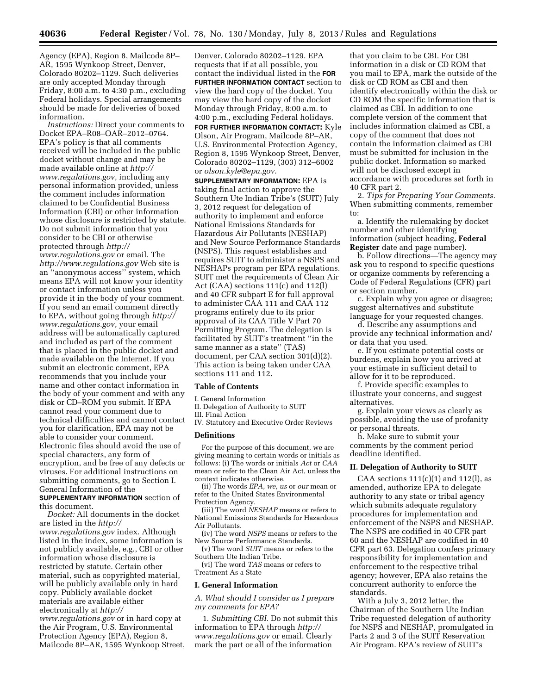Agency (EPA), Region 8, Mailcode 8P– AR, 1595 Wynkoop Street, Denver, Colorado 80202–1129. Such deliveries are only accepted Monday through Friday, 8:00 a.m. to 4:30 p.m., excluding Federal holidays. Special arrangements should be made for deliveries of boxed information.

*Instructions:* Direct your comments to Docket EPA–R08–OAR–2012–0764. EPA's policy is that all comments received will be included in the public docket without change and may be made available online at *[http://](http://www.regulations.gov)  [www.regulations.gov,](http://www.regulations.gov)* including any personal information provided, unless the comment includes information claimed to be Confidential Business Information (CBI) or other information whose disclosure is restricted by statute. Do not submit information that you consider to be CBI or otherwise protected through *[http://](http://www.regulations.gov)  [www.regulations.gov](http://www.regulations.gov)* or email. The *<http://www.regulations.gov>* Web site is an ''anonymous access'' system, which means EPA will not know your identity or contact information unless you provide it in the body of your comment. If you send an email comment directly to EPA, without going through *[http://](http://www.regulations.gov)  [www.regulations.gov,](http://www.regulations.gov)* your email address will be automatically captured and included as part of the comment that is placed in the public docket and made available on the Internet. If you submit an electronic comment, EPA recommends that you include your name and other contact information in the body of your comment and with any disk or CD–ROM you submit. If EPA cannot read your comment due to technical difficulties and cannot contact you for clarification, EPA may not be able to consider your comment. Electronic files should avoid the use of special characters, any form of encryption, and be free of any defects or viruses. For additional instructions on submitting comments, go to Section I. General Information of the

## **SUPPLEMENTARY INFORMATION** section of this document.

*Docket:* All documents in the docket are listed in the *[http://](http://www.regulations.gov)* 

*[www.regulations.gov](http://www.regulations.gov)* index. Although listed in the index, some information is not publicly available, e.g., CBI or other information whose disclosure is restricted by statute. Certain other material, such as copyrighted material, will be publicly available only in hard copy. Publicly available docket materials are available either electronically at *[http://](http://www.regulations.gov) [www.regulations.gov](http://www.regulations.gov)* or in hard copy at

the Air Program, U.S. Environmental Protection Agency (EPA), Region 8, Mailcode 8P–AR, 1595 Wynkoop Street,

Denver, Colorado 80202–1129. EPA requests that if at all possible, you contact the individual listed in the **FOR FURTHER INFORMATION CONTACT** section to view the hard copy of the docket. You may view the hard copy of the docket Monday through Friday, 8:00 a.m. to 4:00 p.m., excluding Federal holidays.

**FOR FURTHER INFORMATION CONTACT:** Kyle Olson, Air Program, Mailcode 8P–AR, U.S. Environmental Protection Agency, Region 8, 1595 Wynkoop Street, Denver, Colorado 80202–1129, (303) 312–6002 or *[olson.kyle@epa.gov.](mailto:olson.kyle@epa.gov)* 

**SUPPLEMENTARY INFORMATION:** EPA is taking final action to approve the Southern Ute Indian Tribe's (SUIT) July 3, 2012 request for delegation of authority to implement and enforce National Emissions Standards for Hazardous Air Pollutants (NESHAP) and New Source Performance Standards (NSPS). This request establishes and requires SUIT to administer a NSPS and NESHAPs program per EPA regulations. SUIT met the requirements of Clean Air Act (CAA) sections 111(c) and 112(l) and 40 CFR subpart E for full approval to administer CAA 111 and CAA 112 programs entirely due to its prior approval of its CAA Title V Part 70 Permitting Program. The delegation is facilitated by SUIT's treatment ''in the same manner as a state'' (TAS) document, per CAA section 301(d)(2). This action is being taken under CAA sections 111 and 112.

### **Table of Contents**

I. General Information

II. Delegation of Authority to SUIT

III. Final Action

IV. Statutory and Executive Order Reviews

#### **Definitions**

For the purpose of this document, we are giving meaning to certain words or initials as follows: (i) The words or initials *Act* or *CAA*  mean or refer to the Clean Air Act, unless the context indicates otherwise.

(ii) The words *EPA, we, us* or *our* mean or refer to the United States Environmental Protection Agency.

(iii) The word *NESHAP* means or refers to National Emissions Standards for Hazardous Air Pollutants.

(iv) The word *NSPS* means or refers to the New Source Performance Standards.

(v) The word *SUIT* means or refers to the Southern Ute Indian Tribe.

(vi) The word *TAS* means or refers to Treatment As a State

### **I. General Information**

*A. What should I consider as I prepare my comments for EPA?* 

1. *Submitting CBI.* Do not submit this information to EPA through *[http://](http://www.regulations.gov)  [www.regulations.gov](http://www.regulations.gov)* or email. Clearly mark the part or all of the information

that you claim to be CBI. For CBI information in a disk or CD ROM that you mail to EPA, mark the outside of the disk or CD ROM as CBI and then identify electronically within the disk or CD ROM the specific information that is claimed as CBI. In addition to one complete version of the comment that includes information claimed as CBI, a copy of the comment that does not contain the information claimed as CBI must be submitted for inclusion in the public docket. Information so marked will not be disclosed except in accordance with procedures set forth in 40 CFR part 2.

2. *Tips for Preparing Your Comments.*  When submitting comments, remember to:

a. Identify the rulemaking by docket number and other identifying information (subject heading, **Federal Register** date and page number).

b. Follow directions—The agency may ask you to respond to specific questions or organize comments by referencing a Code of Federal Regulations (CFR) part or section number.

c. Explain why you agree or disagree; suggest alternatives and substitute language for your requested changes.

d. Describe any assumptions and provide any technical information and/ or data that you used.

e. If you estimate potential costs or burdens, explain how you arrived at your estimate in sufficient detail to allow for it to be reproduced.

f. Provide specific examples to illustrate your concerns, and suggest alternatives.

g. Explain your views as clearly as possible, avoiding the use of profanity or personal threats.

h. Make sure to submit your comments by the comment period deadline identified.

### **II. Delegation of Authority to SUIT**

CAA sections  $111(c)(1)$  and  $112(l)$ , as amended, authorize EPA to delegate authority to any state or tribal agency which submits adequate regulatory procedures for implementation and enforcement of the NSPS and NESHAP. The NSPS are codified in 40 CFR part 60 and the NESHAP are codified in 40 CFR part 63. Delegation confers primary responsibility for implementation and enforcement to the respective tribal agency; however, EPA also retains the concurrent authority to enforce the standards.

With a July 3, 2012 letter, the Chairman of the Southern Ute Indian Tribe requested delegation of authority for NSPS and NESHAP, promulgated in Parts 2 and 3 of the SUIT Reservation Air Program. EPA's review of SUIT's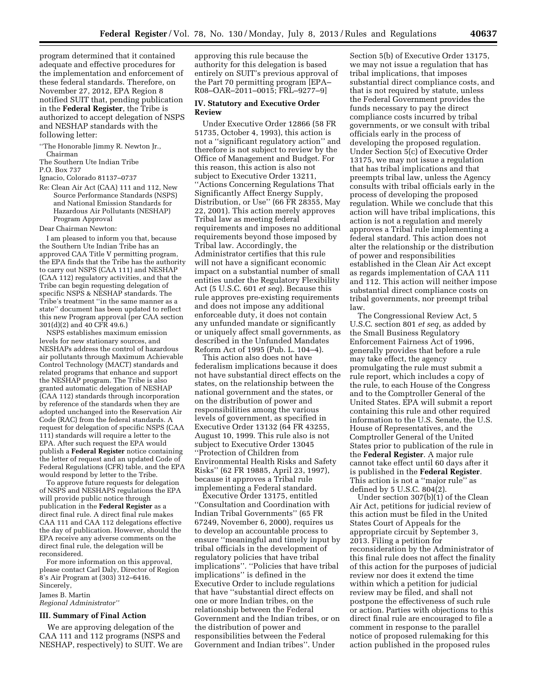program determined that it contained adequate and effective procedures for the implementation and enforcement of these federal standards. Therefore, on November 27, 2012, EPA Region 8 notified SUIT that, pending publication in the **Federal Register**, the Tribe is authorized to accept delegation of NSPS and NESHAP standards with the following letter:

''The Honorable Jimmy R. Newton Jr., Chairman

The Southern Ute Indian Tribe

P.O. Box 737

Ignacio, Colorado 81137–0737

Re: Clean Air Act (CAA) 111 and 112, New Source Performance Standards (NSPS) and National Emission Standards for Hazardous Air Pollutants (NESHAP) Program Approval

Dear Chairman Newton:

I am pleased to inform you that, because the Southern Ute Indian Tribe has an approved CAA Title V permitting program, the EPA finds that the Tribe has the authority to carry out NSPS (CAA 111) and NESHAP (CAA 112) regulatory activities, and that the Tribe can begin requesting delegation of specific NSPS & NESHAP standards. The Tribe's treatment ''in the same manner as a state'' document has been updated to reflect this new Program approval (per CAA section 301(d)(2) and 40 CFR 49.6.)

NSPS establishes maximum emission levels for new stationary sources, and NESHAPs address the control of hazardous air pollutants through Maximum Achievable Control Technology (MACT) standards and related programs that enhance and support the NESHAP program. The Tribe is also granted automatic delegation of NESHAP (CAA 112) standards through incorporation by reference of the standards when they are adopted unchanged into the Reservation Air Code (RAC) from the federal standards. A request for delegation of specific NSPS (CAA 111) standards will require a letter to the EPA. After such request the EPA would publish a **Federal Register** notice containing the letter of request and an updated Code of Federal Regulations (CFR) table, and the EPA would respond by letter to the Tribe.

To approve future requests for delegation of NSPS and NESHAPS regulations the EPA will provide public notice through publication in the **Federal Register** as a direct final rule. A direct final rule makes CAA 111 and CAA 112 delegations effective the day of publication. However, should the EPA receive any adverse comments on the direct final rule, the delegation will be reconsidered.

For more information on this approval, please contact Carl Daly, Director of Region 8's Air Program at (303) 312–6416. Sincerely, James B. Martin

*Regional Administrator''* 

## **III. Summary of Final Action**

We are approving delegation of the CAA 111 and 112 programs (NSPS and NESHAP, respectively) to SUIT. We are

approving this rule because the authority for this delegation is based entirely on SUIT's previous approval of the Part 70 permitting program [EPA– R08–OAR–2011–0015; FRL–9277–9]

### **IV. Statutory and Executive Order Review**

Under Executive Order 12866 (58 FR 51735, October 4, 1993), this action is not a ''significant regulatory action'' and therefore is not subject to review by the Office of Management and Budget. For this reason, this action is also not subject to Executive Order 13211, ''Actions Concerning Regulations That Significantly Affect Energy Supply, Distribution, or Use" (66 FR 28355, May 22, 2001). This action merely approves Tribal law as meeting federal requirements and imposes no additional requirements beyond those imposed by Tribal law. Accordingly, the Administrator certifies that this rule will not have a significant economic impact on a substantial number of small entities under the Regulatory Flexibility Act (5 U.S.C. 601 *et seq*). Because this rule approves pre-existing requirements and does not impose any additional enforceable duty, it does not contain any unfunded mandate or significantly or uniquely affect small governments, as described in the Unfunded Mandates Reform Act of 1995 (Pub. L. 104–4).

This action also does not have federalism implications because it does not have substantial direct effects on the states, on the relationship between the national government and the states, or on the distribution of power and responsibilities among the various levels of government, as specified in Executive Order 13132 (64 FR 43255, August 10, 1999. This rule also is not subject to Executive Order 13045 ''Protection of Children from Environmental Health Risks and Safety Risks'' (62 FR 19885, April 23, 1997), because it approves a Tribal rule implementing a Federal standard.

Executive Order 13175, entitled ''Consultation and Coordination with Indian Tribal Governments'' (65 FR 67249, November 6, 2000), requires us to develop an accountable process to ensure ''meaningful and timely input by tribal officials in the development of regulatory policies that have tribal implications''. ''Policies that have tribal implications'' is defined in the Executive Order to include regulations that have ''substantial direct effects on one or more Indian tribes, on the relationship between the Federal Government and the Indian tribes, or on the distribution of power and responsibilities between the Federal Government and Indian tribes''. Under

Section 5(b) of Executive Order 13175, we may not issue a regulation that has tribal implications, that imposes substantial direct compliance costs, and that is not required by statute, unless the Federal Government provides the funds necessary to pay the direct compliance costs incurred by tribal governments, or we consult with tribal officials early in the process of developing the proposed regulation. Under Section 5(c) of Executive Order 13175, we may not issue a regulation that has tribal implications and that preempts tribal law, unless the Agency consults with tribal officials early in the process of developing the proposed regulation. While we conclude that this action will have tribal implications, this action is not a regulation and merely approves a Tribal rule implementing a federal standard. This action does not alter the relationship or the distribution of power and responsibilities established in the Clean Air Act except as regards implementation of CAA 111 and 112. This action will neither impose substantial direct compliance costs on tribal governments, nor preempt tribal law.

The Congressional Review Act, 5 U.S.C. section 801 *et seq,* as added by the Small Business Regulatory Enforcement Fairness Act of 1996, generally provides that before a rule may take effect, the agency promulgating the rule must submit a rule report, which includes a copy of the rule, to each House of the Congress and to the Comptroller General of the United States. EPA will submit a report containing this rule and other required information to the U.S. Senate, the U.S. House of Representatives, and the Comptroller General of the United States prior to publication of the rule in the **Federal Register**. A major rule cannot take effect until 60 days after it is published in the **Federal Register**. This action is not a ''major rule'' as defined by 5 U.S.C.  $804(2)$ .

Under section 307(b)(1) of the Clean Air Act, petitions for judicial review of this action must be filed in the United States Court of Appeals for the appropriate circuit by September 3, 2013. Filing a petition for reconsideration by the Administrator of this final rule does not affect the finality of this action for the purposes of judicial review nor does it extend the time within which a petition for judicial review may be filed, and shall not postpone the effectiveness of such rule or action. Parties with objections to this direct final rule are encouraged to file a comment in response to the parallel notice of proposed rulemaking for this action published in the proposed rules